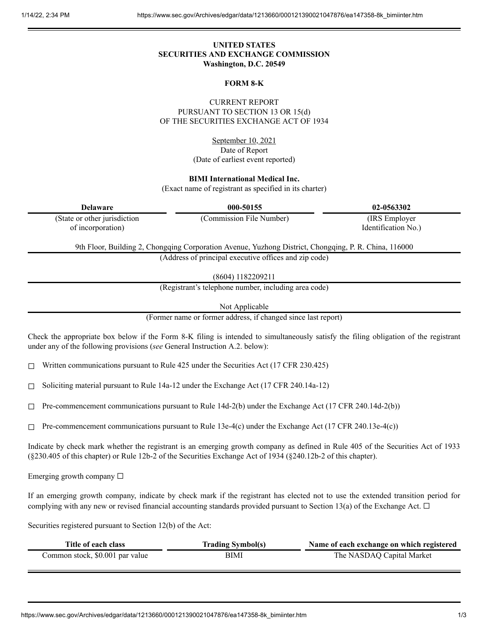## **UNITED STATES SECURITIES AND EXCHANGE COMMISSION Washington, D.C. 20549**

### **FORM 8-K**

CURRENT REPORT PURSUANT TO SECTION 13 OR 15(d) OF THE SECURITIES EXCHANGE ACT OF 1934

> September 10, 2021 Date of Report (Date of earliest event reported)

**BIMI International Medical Inc.**

(Exact name of registrant as specified in its charter)

**Delaware 000-50155 02-0563302**

(State or other jurisdiction of incorporation)

(Commission File Number) (IRS Employer Identification No.)

9th Floor, Building 2, Chongqing Corporation Avenue, Yuzhong District, Chongqing, P. R. China, 116000 (Address of principal executive offices and zip code)

(8604) 1182209211

(Registrant's telephone number, including area code)

Not Applicable

(Former name or former address, if changed since last report)

Check the appropriate box below if the Form 8-K filing is intended to simultaneously satisfy the filing obligation of the registrant under any of the following provisions (*see* General Instruction A.2. below):

 $\Box$  Written communications pursuant to Rule 425 under the Securities Act (17 CFR 230.425)

☐ Soliciting material pursuant to Rule 14a-12 under the Exchange Act (17 CFR 240.14a-12)

 $\Box$  Pre-commencement communications pursuant to Rule 14d-2(b) under the Exchange Act (17 CFR 240.14d-2(b))

 $\Box$  Pre-commencement communications pursuant to Rule 13e-4(c) under the Exchange Act (17 CFR 240.13e-4(c))

Indicate by check mark whether the registrant is an emerging growth company as defined in Rule 405 of the Securities Act of 1933 (§230.405 of this chapter) or Rule 12b-2 of the Securities Exchange Act of 1934 (§240.12b-2 of this chapter).

Emerging growth company  $\Box$ 

If an emerging growth company, indicate by check mark if the registrant has elected not to use the extended transition period for complying with any new or revised financial accounting standards provided pursuant to Section 13(a) of the Exchange Act.  $\Box$ 

Securities registered pursuant to Section 12(b) of the Act:

| Title of each class             | <b>Trading Symbol(s)</b> | Name of each exchange on which registered |
|---------------------------------|--------------------------|-------------------------------------------|
| Common stock, \$0.001 par value | BIMI                     | The NASDAQ Capital Market                 |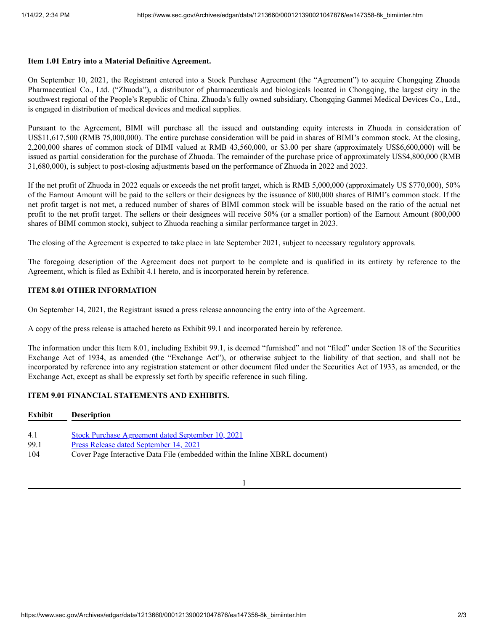#### **Item 1.01 Entry into a Material Definitive Agreement.**

On September 10, 2021, the Registrant entered into a Stock Purchase Agreement (the "Agreement") to acquire Chongqing Zhuoda Pharmaceutical Co., Ltd. ("Zhuoda"), a distributor of pharmaceuticals and biologicals located in Chongqing, the largest city in the southwest regional of the People's Republic of China. Zhuoda's fully owned subsidiary, Chongqing Ganmei Medical Devices Co., Ltd., is engaged in distribution of medical devices and medical supplies.

Pursuant to the Agreement, BIMI will purchase all the issued and outstanding equity interests in Zhuoda in consideration of US\$11,617,500 (RMB 75,000,000). The entire purchase consideration will be paid in shares of BIMI's common stock. At the closing, 2,200,000 shares of common stock of BIMI valued at RMB 43,560,000, or \$3.00 per share (approximately US\$6,600,000) will be issued as partial consideration for the purchase of Zhuoda. The remainder of the purchase price of approximately US\$4,800,000 (RMB 31,680,000), is subject to post-closing adjustments based on the performance of Zhuoda in 2022 and 2023.

If the net profit of Zhuoda in 2022 equals or exceeds the net profit target, which is RMB 5,000,000 (approximately US \$770,000), 50% of the Earnout Amount will be paid to the sellers or their designees by the issuance of 800,000 shares of BIMI's common stock. If the net profit target is not met, a reduced number of shares of BIMI common stock will be issuable based on the ratio of the actual net profit to the net profit target. The sellers or their designees will receive 50% (or a smaller portion) of the Earnout Amount (800,000 shares of BIMI common stock), subject to Zhuoda reaching a similar performance target in 2023.

The closing of the Agreement is expected to take place in late September 2021, subject to necessary regulatory approvals.

The foregoing description of the Agreement does not purport to be complete and is qualified in its entirety by reference to the Agreement, which is filed as Exhibit 4.1 hereto, and is incorporated herein by reference.

### **ITEM 8.01 OTHER INFORMATION**

On September 14, 2021, the Registrant issued a press release announcing the entry into of the Agreement.

A copy of the press release is attached hereto as Exhibit 99.1 and incorporated herein by reference.

The information under this Item 8.01, including Exhibit 99.1, is deemed "furnished" and not "filed" under Section 18 of the Securities Exchange Act of 1934, as amended (the "Exchange Act"), or otherwise subject to the liability of that section, and shall not be incorporated by reference into any registration statement or other document filed under the Securities Act of 1933, as amended, or the Exchange Act, except as shall be expressly set forth by specific reference in such filing.

# **ITEM 9.01 FINANCIAL STATEMENTS AND EXHIBITS.**

| Exhibit | <b>Description</b>                                                          |
|---------|-----------------------------------------------------------------------------|
|         |                                                                             |
| 4.1     | <b>Stock Purchase Agreement dated September 10, 2021</b>                    |
| 99.1    | Press Release dated September 14, 2021                                      |
| 104     | Cover Page Interactive Data File (embedded within the Inline XBRL document) |

1